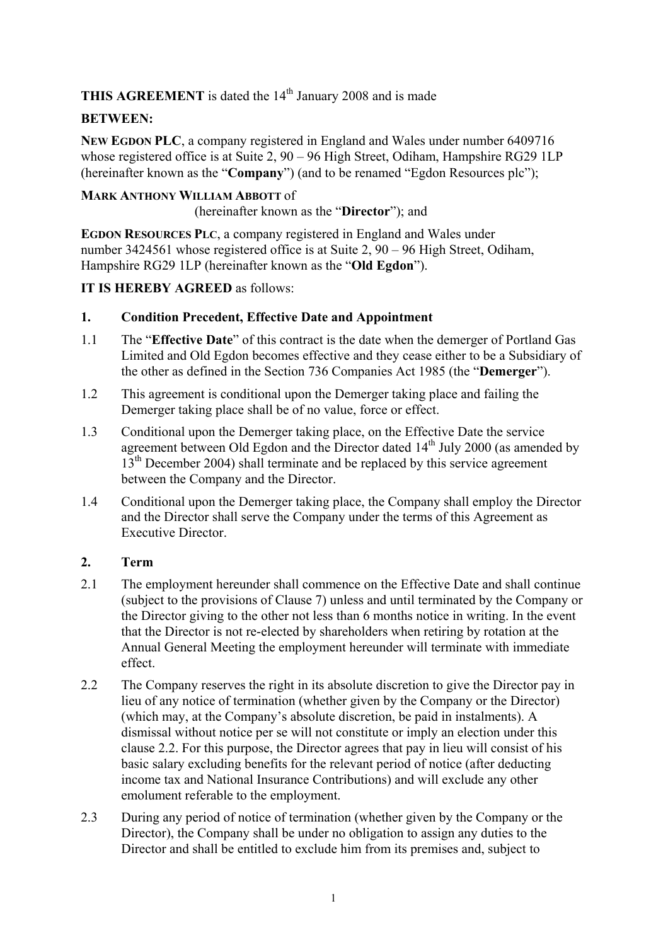**THIS AGREEMENT** is dated the 14<sup>th</sup> January 2008 and is made

# **BETWEEN:**

**NEW EGDON PLC**, a company registered in England and Wales under number 6409716 whose registered office is at Suite 2, 90 – 96 High Street, Odiham, Hampshire RG29 1LP (hereinafter known as the "**Company**") (and to be renamed "Egdon Resources plc");

## **MARK ANTHONY WILLIAM ABBOTT** of

(hereinafter known as the "**Director**"); and

**EGDON RESOURCES PLC**, a company registered in England and Wales under number 3424561 whose registered office is at Suite 2, 90 – 96 High Street, Odiham, Hampshire RG29 1LP (hereinafter known as the "**Old Egdon**").

## **IT IS HEREBY AGREED** as follows:

## **1. Condition Precedent, Effective Date and Appointment**

- 1.1 The "**Effective Date**" of this contract is the date when the demerger of Portland Gas Limited and Old Egdon becomes effective and they cease either to be a Subsidiary of the other as defined in the Section 736 Companies Act 1985 (the "**Demerger**").
- 1.2 This agreement is conditional upon the Demerger taking place and failing the Demerger taking place shall be of no value, force or effect.
- 1.3 Conditional upon the Demerger taking place, on the Effective Date the service agreement between Old Egdon and the Director dated  $14<sup>th</sup>$  July 2000 (as amended by  $13<sup>th</sup>$  December 2004) shall terminate and be replaced by this service agreement between the Company and the Director.
- 1.4 Conditional upon the Demerger taking place, the Company shall employ the Director and the Director shall serve the Company under the terms of this Agreement as Executive Director.

# **2. Term**

- 2.1 The employment hereunder shall commence on the Effective Date and shall continue (subject to the provisions of Clause 7) unless and until terminated by the Company or the Director giving to the other not less than 6 months notice in writing. In the event that the Director is not re-elected by shareholders when retiring by rotation at the Annual General Meeting the employment hereunder will terminate with immediate effect.
- 2.2 The Company reserves the right in its absolute discretion to give the Director pay in lieu of any notice of termination (whether given by the Company or the Director) (which may, at the Company's absolute discretion, be paid in instalments). A dismissal without notice per se will not constitute or imply an election under this clause 2.2. For this purpose, the Director agrees that pay in lieu will consist of his basic salary excluding benefits for the relevant period of notice (after deducting income tax and National Insurance Contributions) and will exclude any other emolument referable to the employment.
- 2.3 During any period of notice of termination (whether given by the Company or the Director), the Company shall be under no obligation to assign any duties to the Director and shall be entitled to exclude him from its premises and, subject to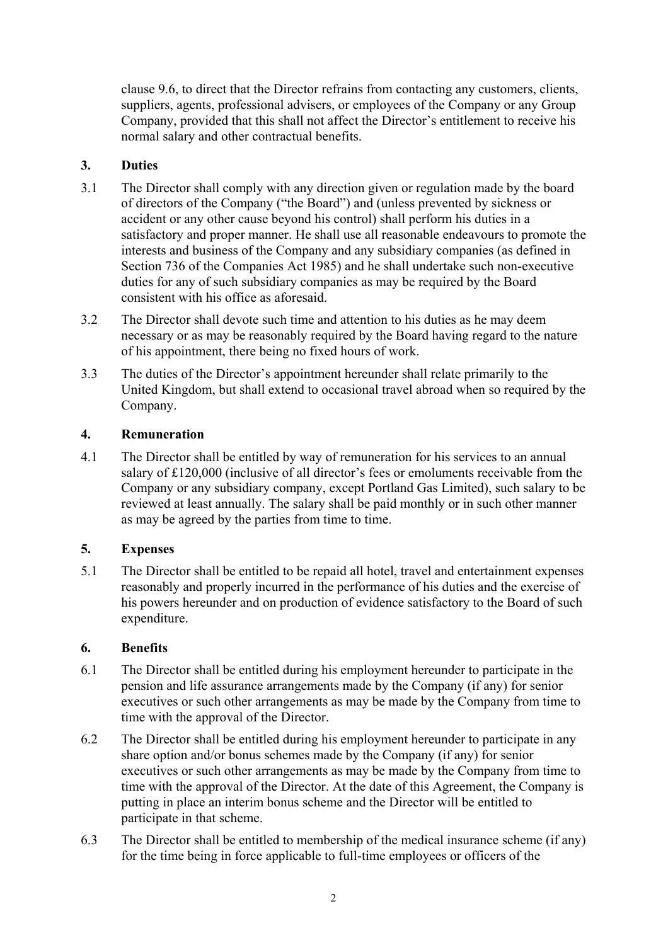clause 9.6, to direct that the Director refrains from contacting any customers, clients, suppliers, agents, professional advisers, or employees of the Company or any Group Company, provided that this shall not affect the Director's entitlement to receive his normal salary and other contractual benefits.

## **3. Duties**

- 3.1 The Director shall comply with any direction given or regulation made by the board of directors of the Company ("the Board") and (unless prevented by sickness or accident or any other cause beyond his control) shall perform his duties in a satisfactory and proper manner. He shall use all reasonable endeavours to promote the interests and business of the Company and any subsidiary companies (as defined in Section 736 of the Companies Act 1985) and he shall undertake such non-executive duties for any of such subsidiary companies as may be required by the Board consistent with his office as aforesaid.
- 3.2 The Director shall devote such time and attention to his duties as he may deem necessary or as may be reasonably required by the Board having regard to the nature of his appointment, there being no fixed hours of work.
- 3.3 The duties of the Director's appointment hereunder shall relate primarily to the United Kingdom, but shall extend to occasional travel abroad when so required by the Company.

## **4. Remuneration**

4.1 The Director shall be entitled by way of remuneration for his services to an annual salary of £120,000 (inclusive of all director's fees or emoluments receivable from the Company or any subsidiary company, except Portland Gas Limited), such salary to be reviewed at least annually. The salary shall be paid monthly or in such other manner as may be agreed by the parties from time to time.

# **5. Expenses**

5.1 The Director shall be entitled to be repaid all hotel, travel and entertainment expenses reasonably and properly incurred in the performance of his duties and the exercise of his powers hereunder and on production of evidence satisfactory to the Board of such expenditure.

# **6. Benefits**

- 6.1 The Director shall be entitled during his employment hereunder to participate in the pension and life assurance arrangements made by the Company (if any) for senior executives or such other arrangements as may be made by the Company from time to time with the approval of the Director.
- 6.2 The Director shall be entitled during his employment hereunder to participate in any share option and/or bonus schemes made by the Company (if any) for senior executives or such other arrangements as may be made by the Company from time to time with the approval of the Director. At the date of this Agreement, the Company is putting in place an interim bonus scheme and the Director will be entitled to participate in that scheme.
- 6.3 The Director shall be entitled to membership of the medical insurance scheme (if any) for the time being in force applicable to full-time employees or officers of the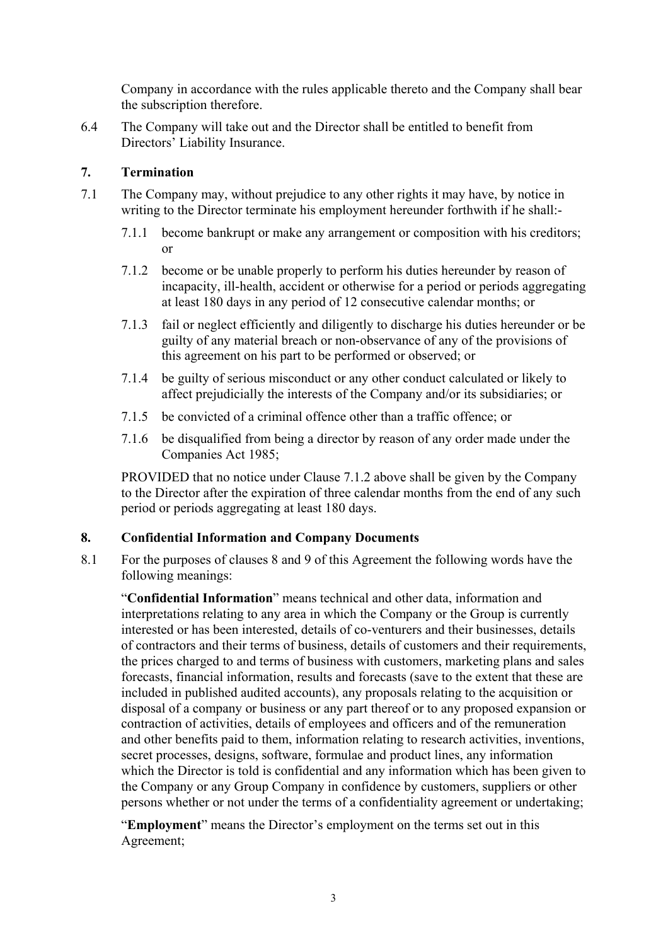Company in accordance with the rules applicable thereto and the Company shall bear the subscription therefore.

6.4 The Company will take out and the Director shall be entitled to benefit from Directors' Liability Insurance.

## **7. Termination**

- 7.1 The Company may, without prejudice to any other rights it may have, by notice in writing to the Director terminate his employment hereunder forthwith if he shall:-
	- 7.1.1 become bankrupt or make any arrangement or composition with his creditors; or
	- 7.1.2 become or be unable properly to perform his duties hereunder by reason of incapacity, ill-health, accident or otherwise for a period or periods aggregating at least 180 days in any period of 12 consecutive calendar months; or
	- 7.1.3 fail or neglect efficiently and diligently to discharge his duties hereunder or be guilty of any material breach or non-observance of any of the provisions of this agreement on his part to be performed or observed; or
	- 7.1.4 be guilty of serious misconduct or any other conduct calculated or likely to affect prejudicially the interests of the Company and/or its subsidiaries; or
	- 7.1.5 be convicted of a criminal offence other than a traffic offence; or
	- 7.1.6 be disqualified from being a director by reason of any order made under the Companies Act 1985;

PROVIDED that no notice under Clause 7.1.2 above shall be given by the Company to the Director after the expiration of three calendar months from the end of any such period or periods aggregating at least 180 days.

### **8. Confidential Information and Company Documents**

8.1 For the purposes of clauses 8 and 9 of this Agreement the following words have the following meanings:

"**Confidential Information**" means technical and other data, information and interpretations relating to any area in which the Company or the Group is currently interested or has been interested, details of co-venturers and their businesses, details of contractors and their terms of business, details of customers and their requirements, the prices charged to and terms of business with customers, marketing plans and sales forecasts, financial information, results and forecasts (save to the extent that these are included in published audited accounts), any proposals relating to the acquisition or disposal of a company or business or any part thereof or to any proposed expansion or contraction of activities, details of employees and officers and of the remuneration and other benefits paid to them, information relating to research activities, inventions, secret processes, designs, software, formulae and product lines, any information which the Director is told is confidential and any information which has been given to the Company or any Group Company in confidence by customers, suppliers or other persons whether or not under the terms of a confidentiality agreement or undertaking;

"**Employment**" means the Director's employment on the terms set out in this Agreement;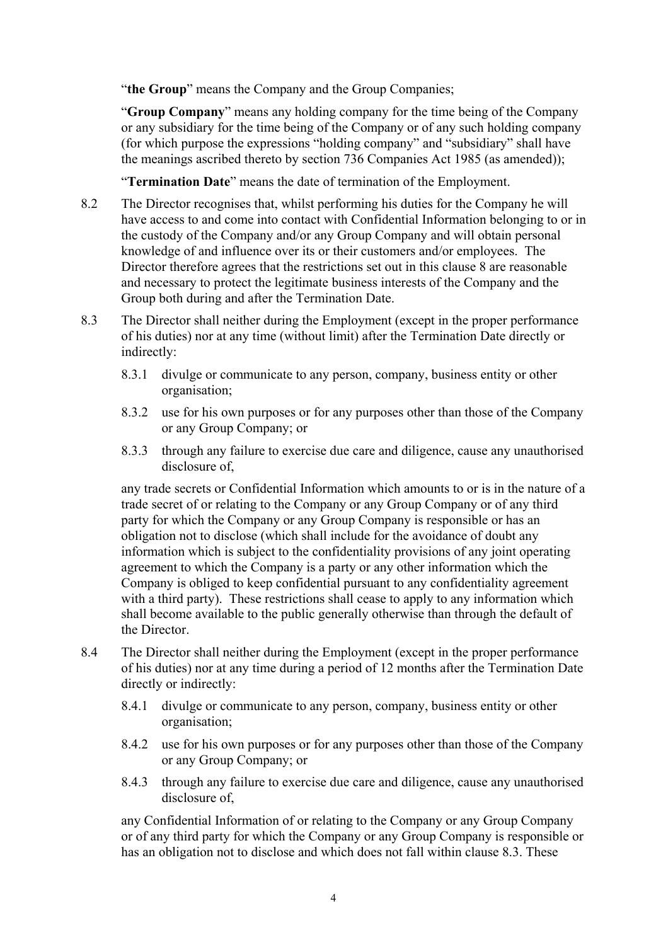"the Group" means the Company and the Group Companies;

"**Group Company**" means any holding company for the time being of the Company or any subsidiary for the time being of the Company or of any such holding company (for which purpose the expressions "holding company" and "subsidiary" shall have the meanings ascribed thereto by section 736 Companies Act 1985 (as amended));

"**Termination Date**" means the date of termination of the Employment.

- 8.2 The Director recognises that, whilst performing his duties for the Company he will have access to and come into contact with Confidential Information belonging to or in the custody of the Company and/or any Group Company and will obtain personal knowledge of and influence over its or their customers and/or employees. The Director therefore agrees that the restrictions set out in this clause 8 are reasonable and necessary to protect the legitimate business interests of the Company and the Group both during and after the Termination Date.
- 8.3 The Director shall neither during the Employment (except in the proper performance of his duties) nor at any time (without limit) after the Termination Date directly or indirectly:
	- 8.3.1 divulge or communicate to any person, company, business entity or other organisation;
	- 8.3.2 use for his own purposes or for any purposes other than those of the Company or any Group Company; or
	- 8.3.3 through any failure to exercise due care and diligence, cause any unauthorised disclosure of,

any trade secrets or Confidential Information which amounts to or is in the nature of a trade secret of or relating to the Company or any Group Company or of any third party for which the Company or any Group Company is responsible or has an obligation not to disclose (which shall include for the avoidance of doubt any information which is subject to the confidentiality provisions of any joint operating agreement to which the Company is a party or any other information which the Company is obliged to keep confidential pursuant to any confidentiality agreement with a third party). These restrictions shall cease to apply to any information which shall become available to the public generally otherwise than through the default of the Director.

- 8.4 The Director shall neither during the Employment (except in the proper performance of his duties) nor at any time during a period of 12 months after the Termination Date directly or indirectly:
	- 8.4.1 divulge or communicate to any person, company, business entity or other organisation;
	- 8.4.2 use for his own purposes or for any purposes other than those of the Company or any Group Company; or
	- 8.4.3 through any failure to exercise due care and diligence, cause any unauthorised disclosure of,

any Confidential Information of or relating to the Company or any Group Company or of any third party for which the Company or any Group Company is responsible or has an obligation not to disclose and which does not fall within clause 8.3. These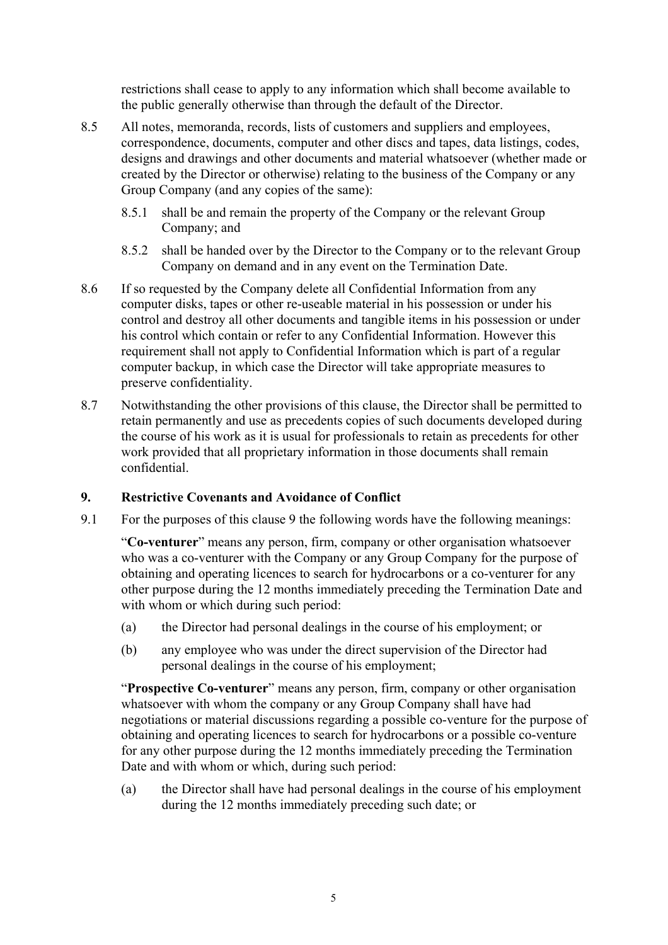restrictions shall cease to apply to any information which shall become available to the public generally otherwise than through the default of the Director.

- 8.5 All notes, memoranda, records, lists of customers and suppliers and employees, correspondence, documents, computer and other discs and tapes, data listings, codes, designs and drawings and other documents and material whatsoever (whether made or created by the Director or otherwise) relating to the business of the Company or any Group Company (and any copies of the same):
	- 8.5.1 shall be and remain the property of the Company or the relevant Group Company; and
	- 8.5.2 shall be handed over by the Director to the Company or to the relevant Group Company on demand and in any event on the Termination Date.
- 8.6 If so requested by the Company delete all Confidential Information from any computer disks, tapes or other re-useable material in his possession or under his control and destroy all other documents and tangible items in his possession or under his control which contain or refer to any Confidential Information. However this requirement shall not apply to Confidential Information which is part of a regular computer backup, in which case the Director will take appropriate measures to preserve confidentiality.
- 8.7 Notwithstanding the other provisions of this clause, the Director shall be permitted to retain permanently and use as precedents copies of such documents developed during the course of his work as it is usual for professionals to retain as precedents for other work provided that all proprietary information in those documents shall remain confidential.

### **9. Restrictive Covenants and Avoidance of Conflict**

9.1 For the purposes of this clause 9 the following words have the following meanings:

"**Co-venturer**" means any person, firm, company or other organisation whatsoever who was a co-venturer with the Company or any Group Company for the purpose of obtaining and operating licences to search for hydrocarbons or a co-venturer for any other purpose during the 12 months immediately preceding the Termination Date and with whom or which during such period:

- (a) the Director had personal dealings in the course of his employment; or
- (b) any employee who was under the direct supervision of the Director had personal dealings in the course of his employment;

"**Prospective Co-venturer**" means any person, firm, company or other organisation whatsoever with whom the company or any Group Company shall have had negotiations or material discussions regarding a possible co-venture for the purpose of obtaining and operating licences to search for hydrocarbons or a possible co-venture for any other purpose during the 12 months immediately preceding the Termination Date and with whom or which, during such period:

(a) the Director shall have had personal dealings in the course of his employment during the 12 months immediately preceding such date; or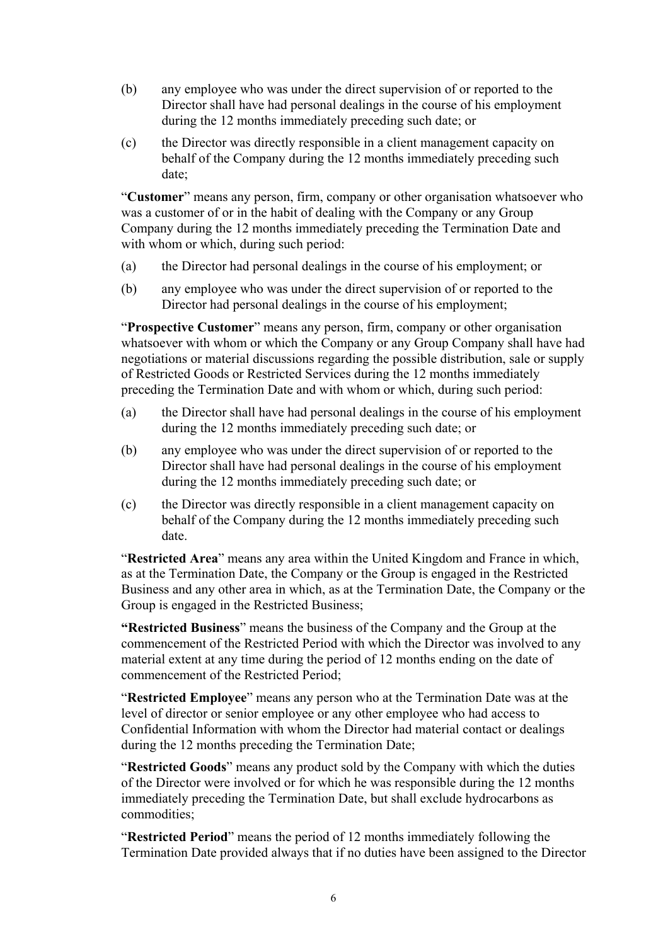- (b) any employee who was under the direct supervision of or reported to the Director shall have had personal dealings in the course of his employment during the 12 months immediately preceding such date; or
- (c) the Director was directly responsible in a client management capacity on behalf of the Company during the 12 months immediately preceding such date;

"**Customer**" means any person, firm, company or other organisation whatsoever who was a customer of or in the habit of dealing with the Company or any Group Company during the 12 months immediately preceding the Termination Date and with whom or which, during such period:

- (a) the Director had personal dealings in the course of his employment; or
- (b) any employee who was under the direct supervision of or reported to the Director had personal dealings in the course of his employment;

"**Prospective Customer**" means any person, firm, company or other organisation whatsoever with whom or which the Company or any Group Company shall have had negotiations or material discussions regarding the possible distribution, sale or supply of Restricted Goods or Restricted Services during the 12 months immediately preceding the Termination Date and with whom or which, during such period:

- (a) the Director shall have had personal dealings in the course of his employment during the 12 months immediately preceding such date; or
- (b) any employee who was under the direct supervision of or reported to the Director shall have had personal dealings in the course of his employment during the 12 months immediately preceding such date; or
- (c) the Director was directly responsible in a client management capacity on behalf of the Company during the 12 months immediately preceding such date.

"**Restricted Area**" means any area within the United Kingdom and France in which, as at the Termination Date, the Company or the Group is engaged in the Restricted Business and any other area in which, as at the Termination Date, the Company or the Group is engaged in the Restricted Business;

**"Restricted Business**" means the business of the Company and the Group at the commencement of the Restricted Period with which the Director was involved to any material extent at any time during the period of 12 months ending on the date of commencement of the Restricted Period;

"**Restricted Employee**" means any person who at the Termination Date was at the level of director or senior employee or any other employee who had access to Confidential Information with whom the Director had material contact or dealings during the 12 months preceding the Termination Date;

"**Restricted Goods**" means any product sold by the Company with which the duties of the Director were involved or for which he was responsible during the 12 months immediately preceding the Termination Date, but shall exclude hydrocarbons as commodities;

"**Restricted Period**" means the period of 12 months immediately following the Termination Date provided always that if no duties have been assigned to the Director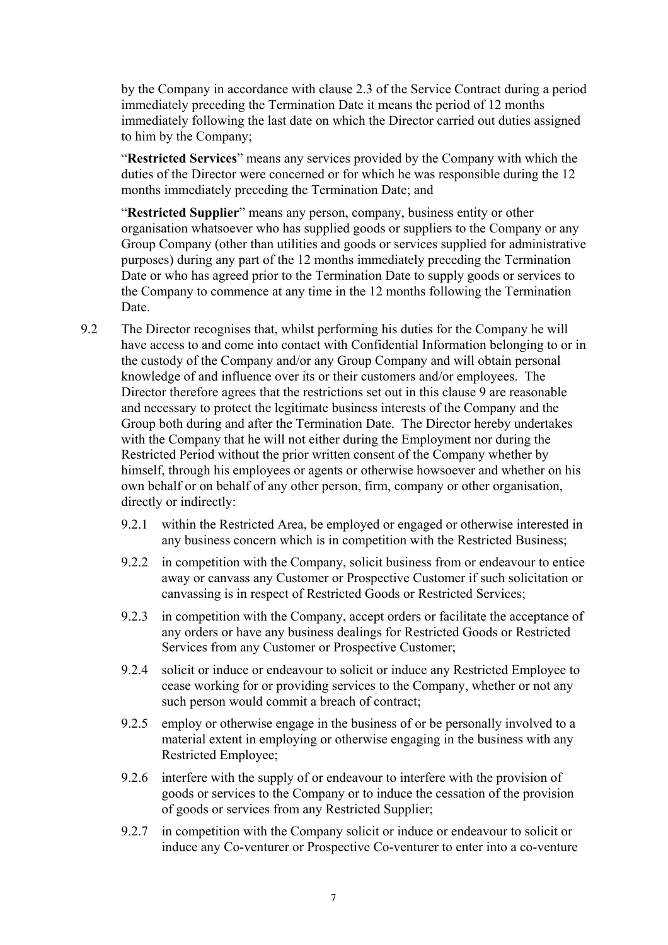by the Company in accordance with clause 2.3 of the Service Contract during a period immediately preceding the Termination Date it means the period of 12 months immediately following the last date on which the Director carried out duties assigned to him by the Company;

"**Restricted Services**" means any services provided by the Company with which the duties of the Director were concerned or for which he was responsible during the 12 months immediately preceding the Termination Date; and

"**Restricted Supplier**" means any person, company, business entity or other organisation whatsoever who has supplied goods or suppliers to the Company or any Group Company (other than utilities and goods or services supplied for administrative purposes) during any part of the 12 months immediately preceding the Termination Date or who has agreed prior to the Termination Date to supply goods or services to the Company to commence at any time in the 12 months following the Termination Date.

- 9.2 The Director recognises that, whilst performing his duties for the Company he will have access to and come into contact with Confidential Information belonging to or in the custody of the Company and/or any Group Company and will obtain personal knowledge of and influence over its or their customers and/or employees. The Director therefore agrees that the restrictions set out in this clause 9 are reasonable and necessary to protect the legitimate business interests of the Company and the Group both during and after the Termination Date. The Director hereby undertakes with the Company that he will not either during the Employment nor during the Restricted Period without the prior written consent of the Company whether by himself, through his employees or agents or otherwise howsoever and whether on his own behalf or on behalf of any other person, firm, company or other organisation, directly or indirectly:
	- 9.2.1 within the Restricted Area, be employed or engaged or otherwise interested in any business concern which is in competition with the Restricted Business;
	- 9.2.2 in competition with the Company, solicit business from or endeavour to entice away or canvass any Customer or Prospective Customer if such solicitation or canvassing is in respect of Restricted Goods or Restricted Services;
	- 9.2.3 in competition with the Company, accept orders or facilitate the acceptance of any orders or have any business dealings for Restricted Goods or Restricted Services from any Customer or Prospective Customer;
	- 9.2.4 solicit or induce or endeavour to solicit or induce any Restricted Employee to cease working for or providing services to the Company, whether or not any such person would commit a breach of contract;
	- 9.2.5 employ or otherwise engage in the business of or be personally involved to a material extent in employing or otherwise engaging in the business with any Restricted Employee;
	- 9.2.6 interfere with the supply of or endeavour to interfere with the provision of goods or services to the Company or to induce the cessation of the provision of goods or services from any Restricted Supplier;
	- 9.2.7 in competition with the Company solicit or induce or endeavour to solicit or induce any Co-venturer or Prospective Co-venturer to enter into a co-venture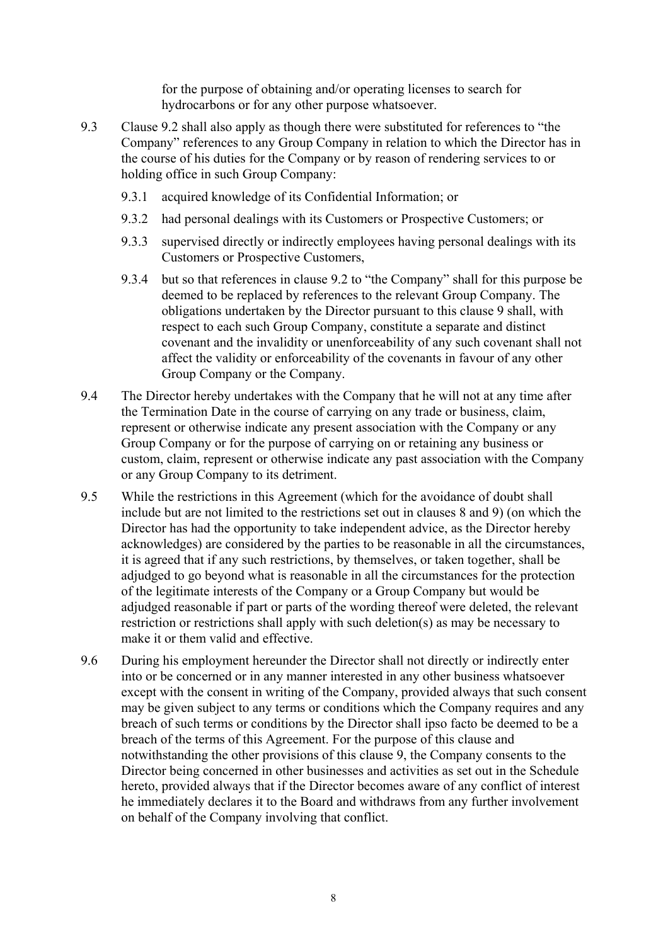for the purpose of obtaining and/or operating licenses to search for hydrocarbons or for any other purpose whatsoever.

- 9.3 Clause 9.2 shall also apply as though there were substituted for references to "the Company" references to any Group Company in relation to which the Director has in the course of his duties for the Company or by reason of rendering services to or holding office in such Group Company:
	- 9.3.1 acquired knowledge of its Confidential Information; or
	- 9.3.2 had personal dealings with its Customers or Prospective Customers; or
	- 9.3.3 supervised directly or indirectly employees having personal dealings with its Customers or Prospective Customers,
	- 9.3.4 but so that references in clause 9.2 to "the Company" shall for this purpose be deemed to be replaced by references to the relevant Group Company. The obligations undertaken by the Director pursuant to this clause 9 shall, with respect to each such Group Company, constitute a separate and distinct covenant and the invalidity or unenforceability of any such covenant shall not affect the validity or enforceability of the covenants in favour of any other Group Company or the Company.
- 9.4 The Director hereby undertakes with the Company that he will not at any time after the Termination Date in the course of carrying on any trade or business, claim, represent or otherwise indicate any present association with the Company or any Group Company or for the purpose of carrying on or retaining any business or custom, claim, represent or otherwise indicate any past association with the Company or any Group Company to its detriment.
- 9.5 While the restrictions in this Agreement (which for the avoidance of doubt shall include but are not limited to the restrictions set out in clauses 8 and 9) (on which the Director has had the opportunity to take independent advice, as the Director hereby acknowledges) are considered by the parties to be reasonable in all the circumstances, it is agreed that if any such restrictions, by themselves, or taken together, shall be adjudged to go beyond what is reasonable in all the circumstances for the protection of the legitimate interests of the Company or a Group Company but would be adjudged reasonable if part or parts of the wording thereof were deleted, the relevant restriction or restrictions shall apply with such deletion(s) as may be necessary to make it or them valid and effective.
- 9.6 During his employment hereunder the Director shall not directly or indirectly enter into or be concerned or in any manner interested in any other business whatsoever except with the consent in writing of the Company, provided always that such consent may be given subject to any terms or conditions which the Company requires and any breach of such terms or conditions by the Director shall ipso facto be deemed to be a breach of the terms of this Agreement. For the purpose of this clause and notwithstanding the other provisions of this clause 9, the Company consents to the Director being concerned in other businesses and activities as set out in the Schedule hereto, provided always that if the Director becomes aware of any conflict of interest he immediately declares it to the Board and withdraws from any further involvement on behalf of the Company involving that conflict.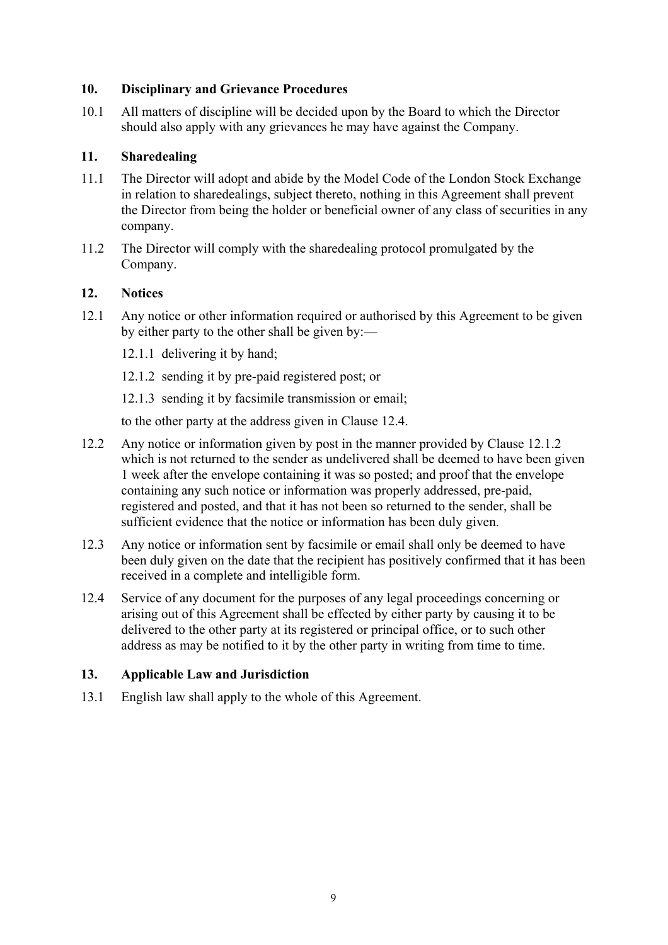### **10. Disciplinary and Grievance Procedures**

10.1 All matters of discipline will be decided upon by the Board to which the Director should also apply with any grievances he may have against the Company.

### **11. Sharedealing**

- 11.1 The Director will adopt and abide by the Model Code of the London Stock Exchange in relation to sharedealings, subject thereto, nothing in this Agreement shall prevent the Director from being the holder or beneficial owner of any class of securities in any company.
- 11.2 The Director will comply with the sharedealing protocol promulgated by the Company.

#### **12. Notices**

- 12.1 Any notice or other information required or authorised by this Agreement to be given by either party to the other shall be given by:—
	- 12.1.1 delivering it by hand;
	- 12.1.2 sending it by pre-paid registered post; or
	- 12.1.3 sending it by facsimile transmission or email;

to the other party at the address given in Clause 12.4.

- 12.2 Any notice or information given by post in the manner provided by Clause 12.1.2 which is not returned to the sender as undelivered shall be deemed to have been given 1 week after the envelope containing it was so posted; and proof that the envelope containing any such notice or information was properly addressed, pre-paid, registered and posted, and that it has not been so returned to the sender, shall be sufficient evidence that the notice or information has been duly given.
- 12.3 Any notice or information sent by facsimile or email shall only be deemed to have been duly given on the date that the recipient has positively confirmed that it has been received in a complete and intelligible form.
- 12.4 Service of any document for the purposes of any legal proceedings concerning or arising out of this Agreement shall be effected by either party by causing it to be delivered to the other party at its registered or principal office, or to such other address as may be notified to it by the other party in writing from time to time.

### **13. Applicable Law and Jurisdiction**

13.1 English law shall apply to the whole of this Agreement.